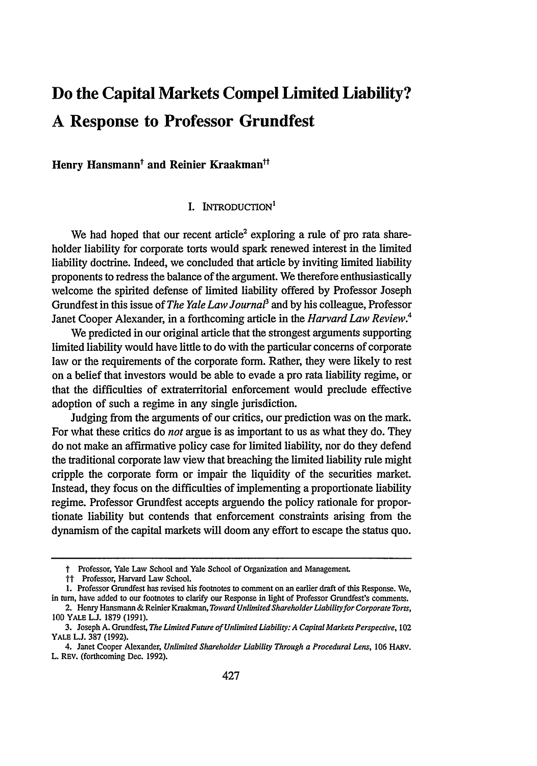# **Do the Capital Markets Compel Limited Liability? A Response to Professor Grundfest**

Henry Hansmann<sup>†</sup> and Reinier Kraakman<sup>††</sup>

## I. INTRODUCTION<sup>1</sup>

We had hoped that our recent article<sup>2</sup> exploring a rule of pro rata shareholder liability for corporate torts would spark renewed interest in the limited liability doctrine. Indeed, we concluded that article by inviting limited liability proponents to redress the balance of the argument. We therefore enthusiastically welcome the spirited defense of limited liability offered by Professor Joseph Grundfest in this issue of *The Yale Law JournaP* and by his colleague, Professor Janet Cooper Alexander, in a forthcoming article in the *Harvard Law Review.4*

We predicted in our original article that the strongest arguments supporting limited liability would have little to do with the particular concerns of corporate law or the requirements of the corporate form. Rather, they were likely to rest on a belief that investors would be able to evade a pro rata liability regime, or that the difficulties of extraterritorial enforcement would preclude effective adoption of such a regime in any single jurisdiction.

Judging from the arguments of our critics, our prediction was on the mark. For what these critics do *not* argue is as important to us as what they do. They do not make an affirmative policy case for limited liability, nor do they defend the traditional corporate law view that breaching the limited liability rule might cripple the corporate form or impair the liquidity of the securities market. Instead, they focus on the difficulties of implementing a proportionate liability regime. Professor Grundfest accepts arguendo the policy rationale for proportionate liability but contends that enforcement constraints arising from the dynamism of the capital markets will doom any effort to escape the status quo.

*t* Professor, Yale Law School and Yale School of Organization and Management.

tt Professor, Harvard Law School.

**<sup>1.</sup>** Professor Grundfest has revised his footnotes to comment on an earlier draft of this Response. We, in turn, have added to our footnotes to clarify our Response in light of Professor Grundfest's comments.

<sup>2.</sup> Henry Hansmann & Reinier Kraakman, *Toward Unlimited Shareholder Liabilityfor Corporate Torts,* 100 YALE **LJ.** 1879 (1991).

<sup>3.</sup> Joseph A. Grundfest, *The Limited Future of Unlimited Liability: A Capital Markets Perspective,* 102 YALE **LJ.** 387 (1992).

<sup>4.</sup> Janet Cooper Alexander, *Unlimited Shareholder Liability Through a Procedural Lens,* 106 HARv. L. REV. (forthcoming Dec. 1992).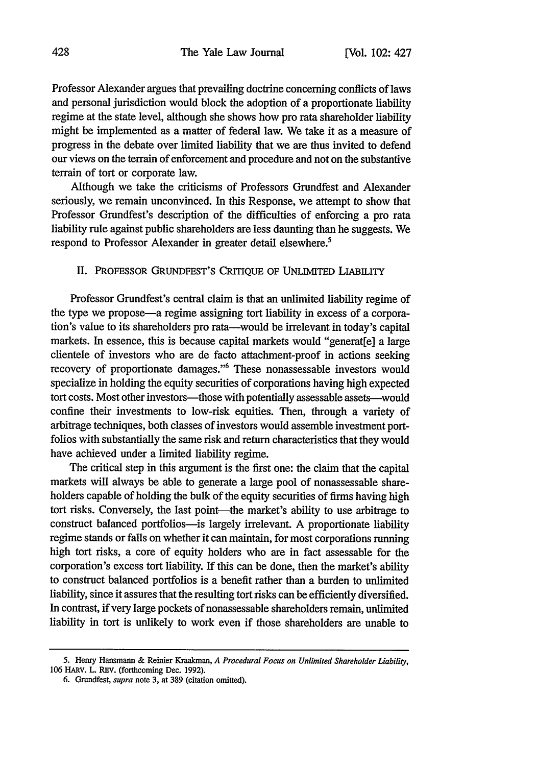Professor Alexander argues that prevailing doctrine concerning conflicts of laws and personal jurisdiction would block the adoption of a proportionate liability regime at the state level, although she shows how pro rata shareholder liability might be implemented as a matter of federal law. We take it as a measure of progress in the debate over limited liability that we are thus invited to defend our views on the terrain of enforcement and procedure and not on the substantive terrain of tort or corporate law.

Although we take the criticisms of Professors Grundfest and Alexander seriously, we remain unconvinced. In this Response, we attempt to show that Professor Grundfest's description of the difficulties of enforcing a pro rata liability rule against public shareholders are less daunting than he suggests. We respond to Professor Alexander in greater detail elsewhere.<sup>5</sup>

### **H.** PROFESSOR **GRUNDFEST'S** CRITIQUE **OF UNLIMITED LIABILITY**

Professor Grundfest's central claim is that an unlimited liability regime of the type we propose-a regime assigning tort liability in excess of a corporation's value to its shareholders pro rata-would be irrelevant in today's capital markets. In essence, this is because capital markets would "generat[e] a large clientele of investors who are de facto attachment-proof in actions seeking recovery of proportionate damages."6 These nonassessable investors would specialize in holding the equity securities of corporations having high expected tort costs. Most other investors-those with potentially assessable assets-would confine their investments to low-risk equities. Then, through a variety of arbitrage techniques, both classes of investors would assemble investment portfolios with substantially the same risk and return characteristics that they would have achieved under a limited liability regime.

The critical step in this argument is the first one: the claim that the capital markets will always be able to generate a large pool of nonassessable shareholders capable of holding the bulk of the equity securities of firms having high tort risks. Conversely, the last point-the market's ability to use arbitrage to construct balanced portfolios-is largely irrelevant. A proportionate liability regime stands or falls on whether it can maintain, for most corporations running high tort risks, a core of equity holders who are in fact assessable for the corporation's excess tort liability. If this can be done, then the market's ability to construct balanced portfolios is a benefit rather than a burden to unlimited liability, since it assures that the resulting tort risks can be efficiently diversified. In contrast, if very large pockets of nonassessable shareholders remain, unlimited liability in tort is unlikely to work even if those shareholders are unable to

<sup>5.</sup> Henry Hansmann & Reinier Kraakman, *A Procedural Focus on Unlimited Shareholder Liability,* 106 HARV. L. REV. (forthcoming Dec. 1992).

<sup>6.</sup> Grundfest, *supra* note 3, at 389 (citation omitted).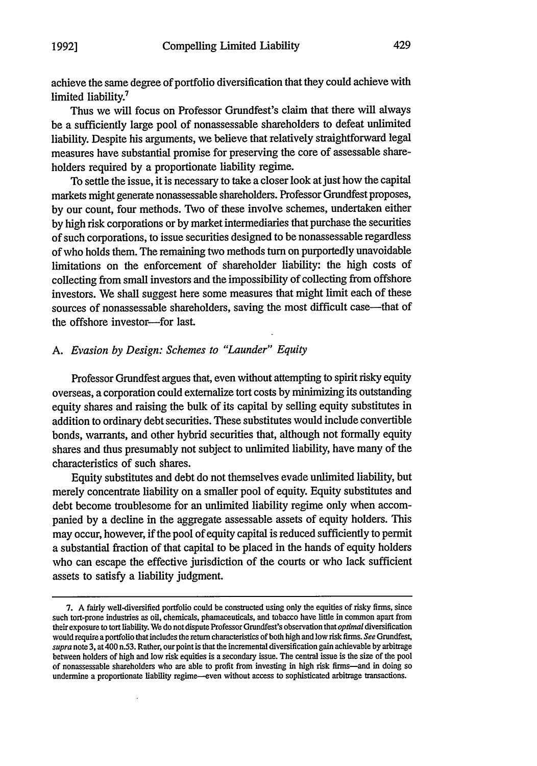achieve the same degree of portfolio diversification that they could achieve with limited liability.<sup>7</sup>

Thus we will focus on Professor Grundfest's claim that there will always be a sufficiently large pool of nonassessable shareholders to defeat unlimited liability. Despite his arguments, we believe that relatively straightforward legal measures have substantial promise for preserving the core of assessable shareholders required by a proportionate liability regime.

To settle the issue, it is necessary to take a closer look at just how the capital markets might generate nonassessable shareholders. Professor Grundfest proposes, by our count, four methods. Two of these involve schemes, undertaken either **by** high risk corporations or **by** market intermediaries that purchase the securities of such corporations, to issue securities designed to be nonassessable regardless of who holds them. The remaining two methods turn on purportedly unavoidable limitations on the enforcement of shareholder liability: the high costs of collecting from small investors and the impossibility of collecting from offshore investors. We shall suggest here some measures that might limit each of these sources of nonassessable shareholders, saving the most difficult case—that of the offshore investor-for last.

### *A. Evasion by Design: Schemes to "Launder" Equity*

Professor Grundfest argues that, even without attempting to spirit risky equity overseas, a corporation could externalize tort costs by minimizing its outstanding equity shares and raising the bulk of its capital by selling equity substitutes in addition to ordinary debt securities. These substitutes would include convertible bonds, warrants, and other hybrid securities that, although not formally equity shares and thus presumably not subject to unlimited liability, have many of the characteristics of such shares.

Equity substitutes and debt do not themselves evade unlimited liability, but merely concentrate liability on a smaller pool of equity. Equity substitutes and debt become troublesome for an unlimited liability regime only when accompanied by a decline in the aggregate assessable assets of equity holders. This may occur, however, if the pool of equity capital is reduced sufficiently to permit a substantial fraction of that capital to be placed in the hands of equity holders who can escape the effective jurisdiction of the courts or who lack sufficient assets to satisfy a liability judgment.

**<sup>7.</sup>** A fairly well-diversified portfolio could be constructed using only the equities of risky firms, since such tort-prone industries as oil, chemicals, phamaceuticals, and tobacco have little in common apart from their exposure to tort liability. We do not dispute Professor Grundfest's observation that *optimal* diversification would require a portfolio that includes the return characteristics of both high and low risk firms. *See* Grundfest, *supra* note 3, at 400 n.53. Rather, our point is that the incremental diversification gain achievable by arbitrage between holders of high and low risk equities is a secondary issue. The central issue is the size of the pool of nonassessable shareholders who are able to profit from investing in high risk firms-and in doing so undermine a proportionate liability regime--even without access to sophisticated arbitrage transactions.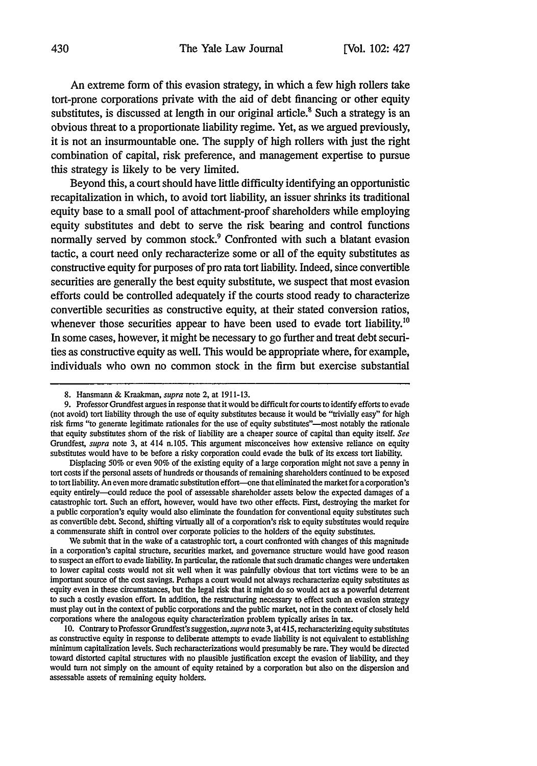An extreme form of this evasion strategy, in which a few high rollers take tort-prone corporations private with the aid of debt financing or other equity substitutes, is discussed at length in our original article.<sup>8</sup> Such a strategy is an obvious threat to a proportionate liability regime. Yet, as we argued previously, it is not an insurmountable one. The supply of **high** rollers with just the right combination of capital, risk preference, and management expertise to pursue this strategy is likely to be very limited.

Beyond this, a court should have little difficulty identifying an opportunistic recapitalization in which, to avoid tort liability, an issuer shrinks its traditional equity base to a small pool of attachment-proof shareholders while employing equity substitutes and debt to serve the risk bearing and control functions normally served **by** common stock.9 Confronted with such a blatant evasion tactic, a court need only recharacterize some or all of the equity substitutes as constructive equity for purposes of pro rata tort liability. Indeed, since convertible securities are generally the best equity substitute, we suspect that most evasion efforts could be controlled adequately if the courts stood ready to characterize convertible securities as constructive equity, at their stated conversion ratios, whenever those securities appear to have been used to evade tort liability.<sup>10</sup> In some cases, however, it might be necessary to go further and treat debt securities as constructive equity as well. This would be appropriate where, for example, individuals who own no common stock in the firm but exercise substantial

Displacing 50% or even 90% of the existing equity of a large corporation might not save a penny in tort costs if the personal assets of hundreds or thousands of remaining shareholders continued to be exposed to tort liability. An even more dramatic substitution effort-one that eliminated the market for a corporation's equity entirely-could reduce the pool of assessable shareholder assets below the expected damages of a catastrophic tort. Such an effort, however, would have two other effects. First, destroying the market for a public corporation's equity would also eliminate the foundation for conventional equity substitutes such as convertible debt. Second, shifting virtually all of a corporation's risk to equity substitutes would require a commensurate shift in control over corporate policies to the holders of the equity substitutes.

We submit that in the wake of a catastrophic tort, a court confronted with changes of this magnitude in a corporation's capital structure, securities market, and governance structure would have good reason to suspect an effort to evade liability. In particular, the rationale that such dramatic changes were undertaken to lower capital costs would not sit well when it was painfully obvious that tort victims were to be an important source of the cost savings. Perhaps a court would not always recharacterize equity substitutes as equity even in these circumstances, but the legal risk that it might do so would act as a powerful deterrent to such a costly evasion effort. In addition, the restructuring necessary to effect such an evasion strategy must play out in the context of public corporations and the public market, not in the context of closely held corporations where the analogous equity characterization problem typically arises in tax.

**10.** Contrary to Professor Grundfest's suggestion, *supra* note **3,** at415, recharacterizing equity substitutes as constructive equity in response to deliberate attempts to evade liability is not equivalent to establishing minimum capitalization levels. Such recharacterizations would presumably be rare. They would be directed toward distorted capital structures with no plausible justification except the evasion of liability, and they would turn not simply on the amount of equity retained by a corporation but also on the dispersion and assessable assets of remaining equity holders.

<sup>8.</sup> Hansmann & Kraakman, *supra* note 2, at 1911-13.

<sup>9.</sup> Professor Grundfest argues in response that it would be difficult for courts to identify efforts to evade (not avoid) tort liability through the use of equity substitutes because it would be "trivially easy" for high risk firms "to generate legitimate rationales for the use of equity substitutes"—most notably the rationale that equity substitutes shorn of the risk of liability are a cheaper source of capital than equity itself. *See* Grundfest, *supra* note 3, at 414 n.105. This argument misconceives how extensive reliance on equity substitutes would have to be before a risky corporation could evade the bulk of its excess tort liability.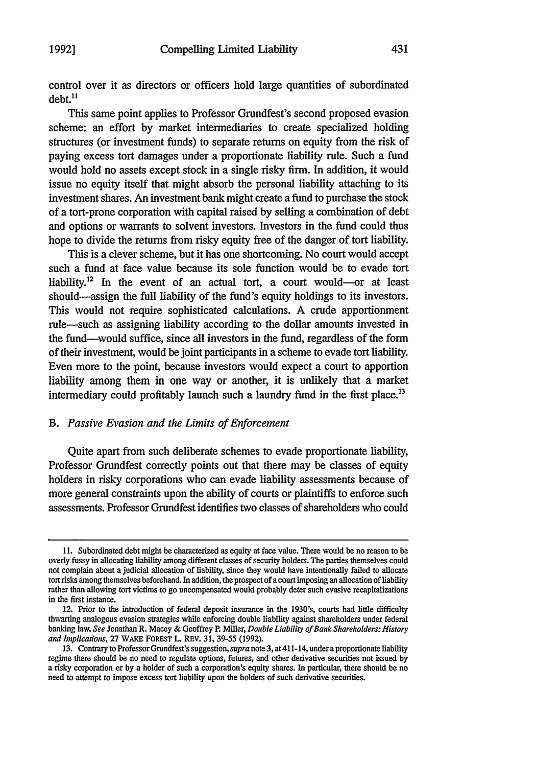control over it as directors or officers hold large quantities of subordinated  $debt.<sup>11</sup>$ 

This same point applies to Professor Grundfest's second proposed evasion scheme: an effort by market intermediaries to create specialized holding structures (or investment funds) to separate returns on equity from the risk of paying excess tort damages under a proportionate liability rule. Such a fund would hold no assets except stock in a single risky firm. In addition, it would issue no equity itself that might absorb the personal liability attaching to its investment shares. An investment bank might create a fund to purchase the stock of a tort-prone corporation with capital raised by selling a combination of debt and options or warrants to solvent investors. Investors in the fund could thus hope to divide the returns from risky equity free of the danger of tort liability.

This is a clever scheme, but it has one shortcoming. No court would accept such a fund at face value because its sole function would be to evade tort liability.<sup>12</sup> In the event of an actual tort, a court would---or at least should—assign the full liability of the fund's equity holdings to its investors. This would not require sophisticated calculations. A crude apportionment rule-such as assigning liability according to the dollar amounts invested in the fund-would suffice, since all investors in the fund, regardless of the form of their investment, would be joint participants in a scheme to evade tort liability. Even more to the point, because investors would expect a court to apportion liability among them in one way or another, it is unlikely that a market intermediary could profitably launch such a laundry fund in the first place.<sup>13</sup>

## *B. Passive Evasion and the Limits of Enforcement*

Quite apart from such deliberate schemes to evade proportionate liability, Professor Grundfest correctly points out that there may be classes of equity holders in risky corporations who can evade liability assessments because of more general constraints upon the ability of courts or plaintiffs to enforce such assessments. Professor Grundfest identifies two classes of shareholders who could

**<sup>11.</sup>** Subordinated debt might be characterized as equity at face value. There would be no reason to be overly fussy in allocating liability among different classes of security holders. The parties themselves could not complain about a judicial allocation of liability, since they would have intentionally failed to allocate tort risks among themselves beforehand. In addition, the prospect of a court imposing an allocation of liability rather than allowing tort victims to go uncompensated would probably deter such evasive recapitalizations in the first instance.

<sup>12.</sup> Prior to the introduction of federal deposit insurance in the 1930's, courts had little difficulty thwarting analogous evasion strategies while enforcing double liability against shareholders under federal banking law. *See* Jonathan R. Macey & Geoffrey P. Miller, *Double Liability of Bank Shareholders: History and Implications,* 27 **WAKE** FOREST L. REV. 31, 39-55 (1992).

<sup>13.</sup> Contrary to Professor Grundfest's suggestion, *supra* note **3,** at *4* 1-14, under a proportionate liability regime there should be no need to regulate options, futures, and other derivative securities not issued **by** a risky corporation or by a holder of such a corporation's equity shares. In particular, there should be no need to attempt to impose excess tort liability upon the holders of such derivative securities.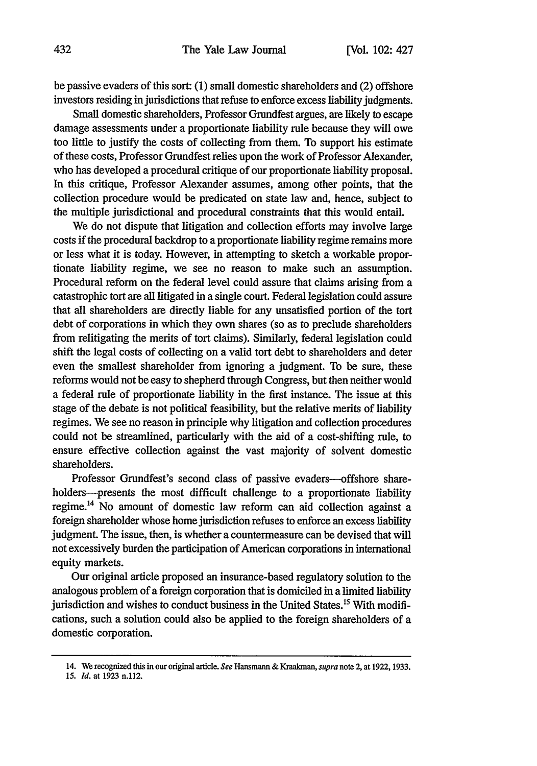be passive evaders of this sort: (1) small domestic shareholders and (2) offshore investors residing in jurisdictions that refuse to enforce excess liability judgments.

Small domestic shareholders, Professor Grundfest argues, are likely to escape damage assessments under a proportionate liability rule because they will owe too little to justify the costs of collecting from them. To support his estimate of these costs, Professor Grundfest relies upon the work of Professor Alexander, who has developed a procedural critique of our proportionate liability proposal. In this critique, Professor Alexander assumes, among other points, that the collection procedure would be predicated on state law and, hence, subject to the multiple jurisdictional and procedural constraints that this would entail.

We do not dispute that litigation and collection efforts may involve large costs if the procedural backdrop to a proportionate liability regime remains more or less what it is today. However, in attempting to sketch a workable proportionate liability regime, we see no reason to make such an assumption. Procedural reform on the federal level could assure that claims arising from a catastrophic tort are all litigated in a single court. Federal legislation could assure that all shareholders are directly liable for any unsatisfied portion of the tort debt of corporations in which they own shares (so as to preclude shareholders from relitigating the merits of tort claims). Similarly, federal legislation could shift the legal costs of collecting on a valid tort debt to shareholders and deter even the smallest shareholder from ignoring a judgment. To be sure, these reforms would not be easy to shepherd through Congress, but then neither would a federal rule of proportionate liability in the first instance. The issue at this stage of the debate is not political feasibility, but the relative merits of liability regimes. We see no reason in principle why litigation and collection procedures could not be streamlined, particularly with the aid of a cost-shifting rule, to ensure effective collection against the vast majority of solvent domestic shareholders.

Professor Grundfest's second class of passive evaders---offshore shareholders—presents the most difficult challenge to a proportionate liability regime.14 No amount of domestic law reform can aid collection against a foreign shareholder whose home jurisdiction refuses to enforce an excess liability judgment. The issue, then, is whether a countermeasure can be devised that will not excessively burden the participation of American corporations in international equity markets.

Our original article proposed an insurance-based regulatory solution to the analogous problem of a foreign corporation that is domiciled in a limited liability jurisdiction and wishes to conduct business in the United States.<sup>15</sup> With modifications, such a solution could also be applied to the foreign shareholders of a domestic corporation.

*15. Id.* at 1923 n.112.

<sup>14.</sup> We recognized this in our original article. *See* Hansmann & Kraakmnan, *supra* note 2, at 1922, 1933.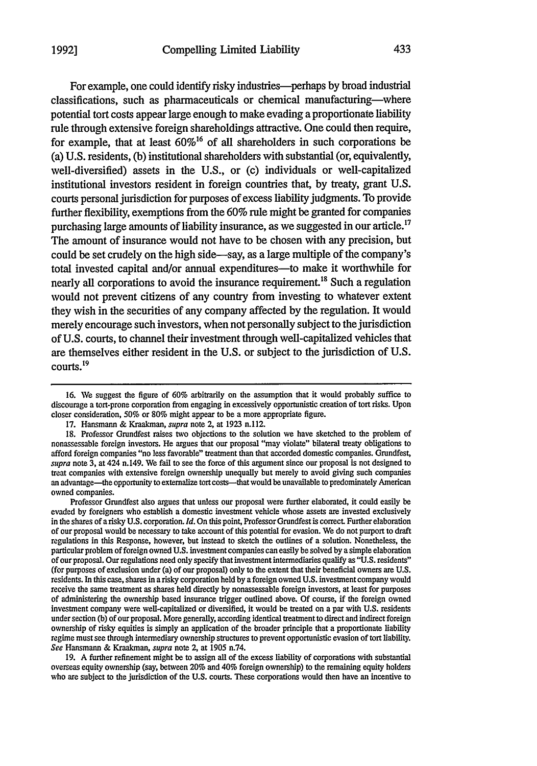For example, one could identify risky industries-perhaps by broad industrial classifications, such as pharmaceuticals or chemical manufacturing-where potential tort costs appear large enough to make evading a proportionate liability rule through extensive foreign shareholdings attractive. One could then require, for example, that at least **60%16** of all shareholders in such corporations be (a) **U.S.** residents, **(b)** institutional shareholders with substantial (or, equivalently, well-diversified) assets in the **U.S.,** or (c) individuals or well-capitalized institutional investors resident in foreign countries that, **by** treaty, grant **U.S.** courts personal jurisdiction for purposes of excess liability judgments. To provide further flexibility, exemptions from the **60%** rule might be granted for companies purchasing large amounts of liability insurance, as we suggested in our article.<sup>17</sup> The amount of insurance would not have to be chosen with any precision, but could be set crudely on the high side-say, as a large multiple of the company's total invested capital and/or annual expenditures-to make it worthwhile for nearly all corporations to avoid the insurance requirement.<sup>18</sup> Such a regulation would not prevent citizens of any country from investing to whatever extent they wish in the securities of any company affected **by** the regulation. It would merely encourage such investors, when not personally subject to the jurisdiction of **U.S.** courts, to channel their investment through well-capitalized vehicles that are themselves either resident in the **U.S.** or subject to the jurisdiction of **U.S.** courts. <sup>19</sup>

Professor Grundfest also argues that unless our proposal were further elaborated, it could easily be evaded by foreigners who establish a domestic investment vehicle whose assets are invested exclusively in the shares of a risky U.S. corporation. *Id.* On this point, Professor Grundfest is correct. Further elaboration of our proposal would be necessary to take account of this potential for evasion. We do not purport to draft regulations in this Response, however, but instead to sketch the outlines of a solution. Nonetheless, the particular problem of foreign owned U.S. investment companies can easily be solved by a simple elaboration of our proposal. Our regulations need only specify that investment intermediaries qualify as "U.S. residents" (for purposes of exclusion under (a) of our proposal) only to the extent that their beneficial owners are U.S. residents. In this case, shares in a risky corporation held by a foreign owned U.S. investment company would receive the same treatment as shares held directly by nonassessable foreign investors, at least for purposes of administering the ownership based insurance trigger outlined above. Of course, if the foreign owned investment company were well-capitalized or diversified, it would be treated on a par with U.S. residents under section (b) of our proposal. More generally, according identical treatment to direct and indirect foreign ownership of risky equities is simply an application of the broader principle that a proportionate liability regime must see through intermediary ownership structures to prevent opportunistic evasion of tort liability. *See* Hansmann & Kraakman, *supra* note 2, at 1905 n.74.

19. A further refinement might be to assign all of the excess liability of corporations with substantial overseas equity ownership (say, between 20% and 40% foreign ownership) to the remaining equity holders who are subject to the jurisdiction of the U.S. courts. These corporations would then have an incentive to

<sup>16.</sup> We suggest the figure of 60% arbitrarily on the assumption that it would probably suffice to discourage a tort-prone corporation from engaging in excessively opportunistic creation of tort risks. Upon closer consideration, 50% or 80% might appear to be a more appropriate figure.

<sup>17.</sup> Hansmann & Kraakman, *supra* note 2, at 1923 n.112.

<sup>18.</sup> Professor Grundfest raises two objections to the solution we have sketched to the problem of nonassessable foreign investors. He argues that our proposal "may violate" bilateral treaty obligations to afford foreign companies "no less favorable" treatment than that accorded domestic companies. Grundfest, *supra* note 3, at 424 n.149. We fail to see the force of this argument since our proposal is not designed to treat companies with extensive foreign ownership unequally but merely to avoid giving such companies an advantage--the opportunity to externalize tort costs-that would be unavailable to predominately American owned companies.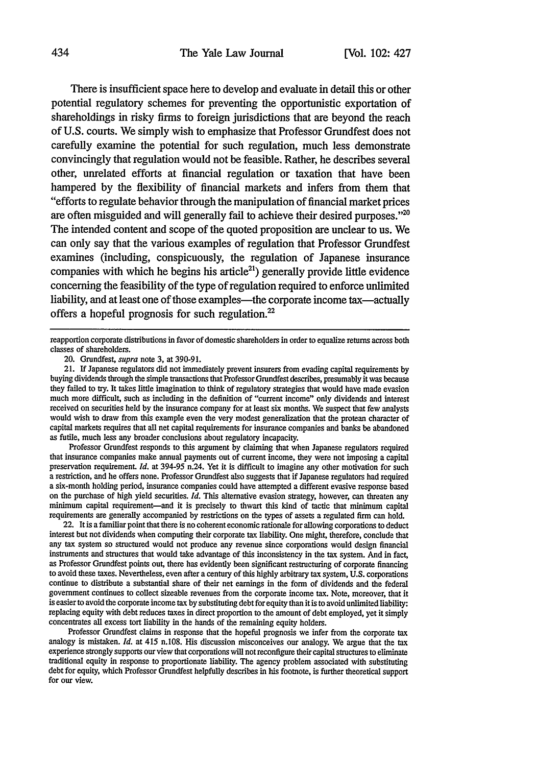There is insufficient space here to develop and evaluate in detail this or other potential regulatory schemes for preventing the opportunistic exportation of shareholdings in risky firms to foreign jurisdictions that are beyond the reach of **U.S.** courts. We simply wish to emphasize that Professor Grundfest does not carefully examine the potential for such regulation, much less demonstrate convincingly that regulation would not be feasible. Rather, he describes several other, unrelated efforts at financial regulation or taxation that have been hampered **by** the flexibility of financial markets and infers from them that "efforts to regulate behavior through the manipulation of financial market prices are often misguided and will generally fail to achieve their desired purposes."<sup>20</sup> The intended content and scope of the quoted proposition are unclear to us. We can only say that the various examples of regulation that Professor Grundfest examines (including, conspicuously, the regulation of Japanese insurance companies with which he begins his article $^{21}$ ) generally provide little evidence concerning the feasibility of the type of regulation required to enforce unlimited liability, and at least one of those examples—the corporate income tax—actually offers a hopeful prognosis for such regulation.<sup>22</sup>

Professor Grundfest responds to this argument by claiming that when Japanese regulators required that insurance companies make annual payments out of current income, they were not imposing a capital preservation requirement. *Id.* at 394-95 n.24. Yet it is difficult to imagine any other motivation for such a restriction, and he offers none. Professor Grundfest also suggests that if Japanese regulators had required a six-month holding period, insurance companies could have attempted a different evasive response based on the purchase of high yield securities. *Id.* This alternative evasion strategy, however, can threaten any minimum capital requirement-and it is precisely to thwart this kind of tactic that minimum capital requirements are generally accompanied by restrictions on the types of assets a regulated firm can hold.

22. It is a familiar point that there is no coherent economic rationale for allowing corporations to deduct interest but not dividends when computing their corporate tax liability. One might, therefore, conclude that any tax system so structured would not produce any revenue since corporations would design financial instruments and structures that would take advantage of this inconsistency in the tax system. And in fact, as Professor Grundfest points out, there has evidently been significant restructuring of corporate financing to avoid these taxes. Nevertheless, even after a century of this highly arbitrary tax system, U.S. corporations continue to distribute a substantial share of their net earnings in the form of dividends and the federal government continues to collect sizeable revenues from the corporate income tax. Note, moreover, that it is easier to avoid the corporate income tax by substituting debt for equity than it is to avoid unlimited liability: replacing equity with debt reduces taxes in direct proportion to the amount of debt employed, yet it simply concentrates all excess tort liability in the hands of the remaining equity holders.

Professor Grundfest claims in response that the hopeful prognosis we infer from the corporate tax analogy is mistaken. *Id.* at 415 n.108. His discussion misconceives our analogy. We argue that the tax experience strongly supports our view that corporations will not reconfigure their capital structures to eliminate traditional equity in response to proportionate liability. The agency problem associated with substituting debt for equity, which Professor Grundfest helpfully describes in his footnote, is further theoretical support for our view.

reapportion corporate distributions in favor of domestic shareholders in order to equalize returns across both classes of shareholders.

<sup>20.</sup> Grundfest, *supra* note 3, at 390-91.

<sup>21.</sup> If Japanese regulators did not immediately prevent insurers from evading capital requirements by buying dividends through the simple transactions that Professor Grundfest describes, presumably it was because they failed to try. It takes little imagination to think of regulatory strategies that would have made evasion much more difficult, such as including in the definition of "current income" only dividends and interest received on securities held by the insurance company for at least six months. We suspect that few analysts would wish to draw from this example even the very modest generalization that the protean character of capital markets requires that all net capital requirements for insurance companies and banks be abandoned as futile, much less any broader conclusions about regulatory incapacity.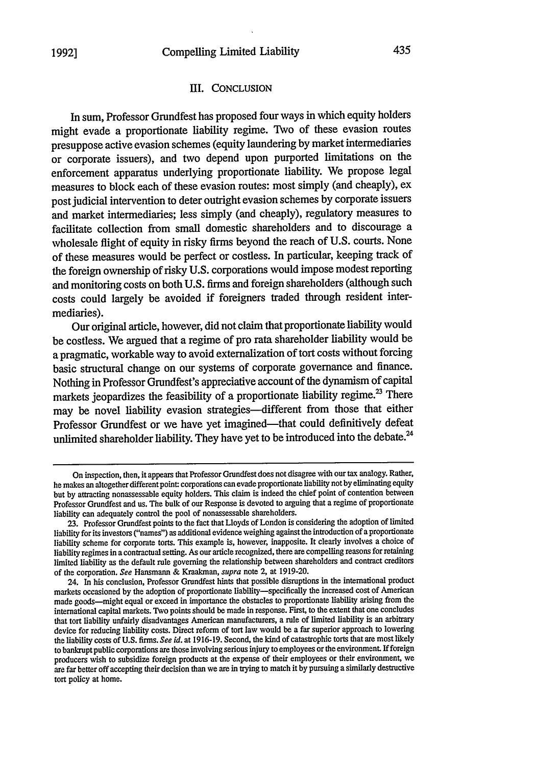#### III. **CONCLUSION**

In sum, Professor Grundfest has proposed four ways in which equity holders might evade a proportionate liability regime. Two of these evasion routes presuppose active evasion schemes (equity laundering by market intermediaries or corporate issuers), and two depend upon purported limitations on the enforcement apparatus underlying proportionate liability. We propose legal measures to block each of these evasion routes: most simply (and cheaply), ex post judicial intervention to deter outright evasion schemes by corporate issuers and market intermediaries; less simply (and cheaply), regulatory measures to facilitate collection from small domestic shareholders and to discourage a wholesale flight of equity in risky firms beyond the reach of U.S. courts. None of these measures would be perfect or costless. In particular, keeping track of the foreign ownership of risky U.S. corporations would impose modest reporting and monitoring costs on both U.S. firms and foreign shareholders (although such costs could largely be avoided if foreigners traded through resident intermediaries).

Our original article, however, did not claim that proportionate liability would be costless. We argued that a regime of pro rata shareholder liability would be a pragmatic, workable way to avoid externalization of tort costs without forcing basic structural change on our systems of corporate governance and finance. Nothing in Professor Grundfest's appreciative account of the dynamism of capital markets jeopardizes the feasibility of a proportionate liability regime.<sup>23</sup> There may be novel liability evasion strategies-different from those that either Professor Grundfest or we have yet imagined-that could definitively defeat unlimited shareholder liability. They have yet to be introduced into the debate.<sup>24</sup>

On inspection, then, it appears that Professor Grundfest does not disagree with our tax analogy. Rather, he makes an altogether different point: corporations can evade proportionate liability not **by** eliminating equity but **by** attracting nonassessable equity holders. This claim is indeed the chief point of contention between Professor Grundfest and us. The bulk of our Response is devoted to arguing that a regime of proportionate liability can adequately control the pool of nonassessable shareholders.

<sup>23.</sup> Professor Grundfest points to the fact that Lloyds of London is considering the adoption of limited liability for its investors ("names") as additional evidence weighing against the introduction of a proportionate liability scheme for corporate torts. This example is, however, inapposite. It clearly involves a choice of liability regimes in a contractual setting. As our article recognized, there are compelling reasons for retaining limited liability as the default rule governing the relationship between shareholders and contract creditors of the corporation. *See* Hansmann & Kraakman, *supra* note 2, at 1919-20.

<sup>24.</sup> In his conclusion, Professor Grundfest hints that possible disruptions in the international product markets occasioned by the adoption of proportionate liability-specifically the increased cost of American made goods-might equal or exceed in importance the obstacles to proportionate liability arising from the international capital markets. Two points should be made in response. First, to the extent that one concludes that tort liability unfairly disadvantages American manufacturers, a rule of limited liability is an arbitrary device for reducing liability costs. Direct reform of tort law would be a far superior approach to lowering the liability costs of U.S. firms. *See id.* at 1916-19. Second, the kind of catastrophic torts that are most likely to bankrupt public corporations are those involving serious injury to employees or the environment. If foreign producers wish to subsidize foreign products at the expense of their employees or their environment, we are far better off accepting their decision than we are in trying to match it by pursuing a similarly destructive tort policy at home.